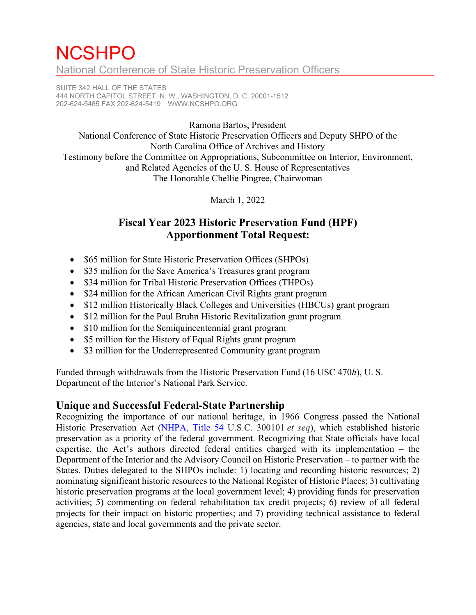# **NCSHPO** National Conference of State Historic Preservation Officers

SUITE 342 HALL OF THE STATES 444 NORTH CAPITOL STREET, N. W., WASHINGTON, D. C. 20001-1512 202-624-5465 FAX 202-624-5419 [WWW.NCSHPO.ORG](http://www.ncshpo.org/)

Ramona Bartos, President

National Conference of State Historic Preservation Officers and Deputy SHPO of the North Carolina Office of Archives and History Testimony before the Committee on Appropriations, Subcommittee on Interior, Environment, and Related Agencies of the U. S. House of Representatives The Honorable Chellie Pingree, Chairwoman

March 1, 2022

### **Fiscal Year 2023 Historic Preservation Fund (HPF) Apportionment Total Request:**

- \$65 million for State Historic Preservation Offices (SHPOs)
- \$35 million for the Save America's Treasures grant program
- \$34 million for Tribal Historic Preservation Offices (THPOs)
- \$24 million for the African American Civil Rights grant program
- \$12 million Historically Black Colleges and Universities (HBCUs) grant program
- \$12 million for the Paul Bruhn Historic Revitalization grant program
- \$10 million for the Semiquincentennial grant program
- \$5 million for the History of Equal Rights grant program
- \$3 million for the Underrepresented Community grant program

Funded through withdrawals from the Historic Preservation Fund (16 USC 470*h*), U. S. Department of the Interior's National Park Service.

#### **Unique and Successful Federal-State Partnership**

Recognizing the importance of our national heritage, in 1966 Congress passed the National Historic Preservation Act [\(NHPA, Title](https://ncshpo.org/resources/national-historic-preservation-act-of-1966/) 54 U.S.C. 300101 *et seq*), which established historic preservation as a priority of the federal government. Recognizing that State officials have local expertise, the Act's authors directed federal entities charged with its implementation – the Department of the Interior and the Advisory Council on Historic Preservation – to partner with the States. Duties delegated to the SHPOs include: 1) locating and recording historic resources; 2) nominating significant historic resources to the National Register of Historic Places; 3) cultivating historic preservation programs at the local government level; 4) providing funds for preservation activities; 5) commenting on federal rehabilitation tax credit projects; 6) review of all federal projects for their impact on historic properties; and 7) providing technical assistance to federal agencies, state and local governments and the private sector.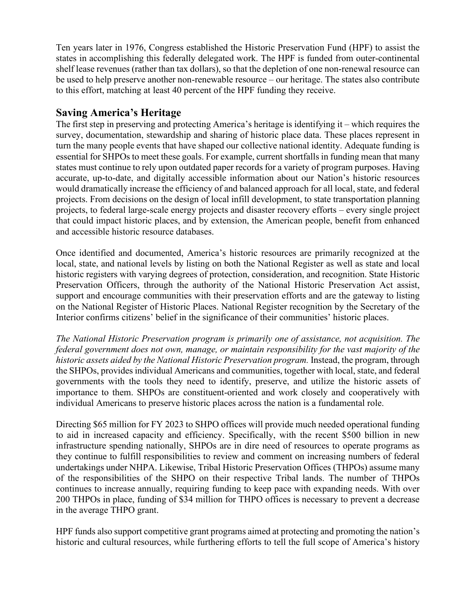Ten years later in 1976, Congress established the Historic Preservation Fund (HPF) to assist the states in accomplishing this federally delegated work. The HPF is funded from outer-continental shelf lease revenues (rather than tax dollars), so that the depletion of one non-renewal resource can be used to help preserve another non-renewable resource – our heritage. The states also contribute to this effort, matching at least 40 percent of the HPF funding they receive.

#### **Saving America's Heritage**

The first step in preserving and protecting America's heritage is identifying it – which requires the survey, documentation, stewardship and sharing of historic place data. These places represent in turn the many people events that have shaped our collective national identity. Adequate funding is essential for SHPOs to meet these goals. For example, current shortfalls in funding mean that many states must continue to rely upon outdated paper records for a variety of program purposes. Having accurate, up-to-date, and digitally accessible information about our Nation's historic resources would dramatically increase the efficiency of and balanced approach for all local, state, and federal projects. From decisions on the design of local infill development, to state transportation planning projects, to federal large-scale energy projects and disaster recovery efforts – every single project that could impact historic places, and by extension, the American people, benefit from enhanced and accessible historic resource databases.

Once identified and documented, America's historic resources are primarily recognized at the local, state, and national levels by listing on both the National Register as well as state and local historic registers with varying degrees of protection, consideration, and recognition. State Historic Preservation Officers, through the authority of the National Historic Preservation Act assist, support and encourage communities with their preservation efforts and are the gateway to listing on the National Register of Historic Places. National Register recognition by the Secretary of the Interior confirms citizens' belief in the significance of their communities' historic places.

*The National Historic Preservation program is primarily one of assistance, not acquisition. The federal government does not own, manage, or maintain responsibility for the vast majority of the historic assets aided by the National Historic Preservation program.* Instead, the program, through the SHPOs, provides individual Americans and communities, together with local, state, and federal governments with the tools they need to identify, preserve, and utilize the historic assets of importance to them. SHPOs are constituent-oriented and work closely and cooperatively with individual Americans to preserve historic places across the nation is a fundamental role.

Directing \$65 million for FY 2023 to SHPO offices will provide much needed operational funding to aid in increased capacity and efficiency. Specifically, with the recent \$500 billion in new infrastructure spending nationally, SHPOs are in dire need of resources to operate programs as they continue to fulfill responsibilities to review and comment on increasing numbers of federal undertakings under NHPA. Likewise, Tribal Historic Preservation Offices (THPOs) assume many of the responsibilities of the SHPO on their respective Tribal lands. The number of THPOs continues to increase annually, requiring funding to keep pace with expanding needs. With over 200 THPOs in place, funding of \$34 million for THPO offices is necessary to prevent a decrease in the average THPO grant.

HPF funds also support competitive grant programs aimed at protecting and promoting the nation's historic and cultural resources, while furthering efforts to tell the full scope of America's history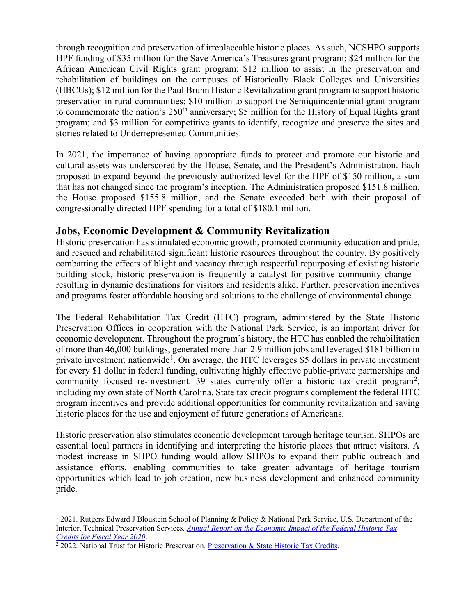through recognition and preservation of irreplaceable historic places. As such, NCSHPO supports HPF funding of \$35 million for the Save America's Treasures grant program; \$24 million for the African American Civil Rights grant program; \$12 million to assist in the preservation and rehabilitation of buildings on the campuses of Historically Black Colleges and Universities (HBCUs); \$12 million for the Paul Bruhn Historic Revitalization grant program to support historic preservation in rural communities; \$10 million to support the Semiquincentennial grant program to commemorate the nation's  $250<sup>th</sup>$  anniversary; \$5 million for the History of Equal Rights grant program; and \$3 million for competitive grants to identify, recognize and preserve the sites and stories related to Underrepresented Communities.

In 2021, the importance of having appropriate funds to protect and promote our historic and cultural assets was underscored by the House, Senate, and the President's Administration. Each proposed to expand beyond the previously authorized level for the HPF of \$150 million, a sum that has not changed since the program's inception. The Administration proposed \$151.8 million, the House proposed \$155.8 million, and the Senate exceeded both with their proposal of congressionally directed HPF spending for a total of \$180.1 million.

#### **Jobs, Economic Development & Community Revitalization**

Historic preservation has stimulated economic growth, promoted community education and pride, and rescued and rehabilitated significant historic resources throughout the country. By positively combatting the effects of blight and vacancy through respectful repurposing of existing historic building stock, historic preservation is frequently a catalyst for positive community change – resulting in dynamic destinations for visitors and residents alike. Further, preservation incentives and programs foster affordable housing and solutions to the challenge of environmental change.

The Federal Rehabilitation Tax Credit (HTC) program, administered by the State Historic Preservation Offices in cooperation with the National Park Service, is an important driver for economic development. Throughout the program's history, the HTC has enabled the rehabilitation of more than 46,000 buildings, generated more than 2.9 million jobs and leveraged \$181 billion in private investment nationwide<sup>[1](#page-2-0)</sup>. On average, the HTC leverages \$5 dollars in private investment for every \$1 dollar in federal funding, cultivating highly effective public-private partnerships and community focused re-investment. 39 states currently offer a historic tax credit program<sup>[2](#page-2-1)</sup>, including my own state of North Carolina. State tax credit programs complement the federal HTC program incentives and provide additional opportunities for community revitalization and saving historic places for the use and enjoyment of future generations of Americans.

Historic preservation also stimulates economic development through heritage tourism. SHPOs are essential local partners in identifying and interpreting the historic places that attract visitors. A modest increase in SHPO funding would allow SHPOs to expand their public outreach and assistance efforts, enabling communities to take greater advantage of heritage tourism opportunities which lead to job creation, new business development and enhanced community pride.

<span id="page-2-0"></span><sup>1</sup> 2021. Rutgers Edward J Bloustein School of Planning & Policy & National Park Service, U.S. Department of the Interior, Technical Preservation Services. *Annual Report on [the Economic Impact of the Federal Historic Tax](https://www.nps.gov/tps/tax-incentives/taxdocs/economic-impact-2020.pdf)  [Credits for Fiscal Year 2020](https://www.nps.gov/tps/tax-incentives/taxdocs/economic-impact-2020.pdf)*.

<span id="page-2-1"></span> $\frac{2}{2}$  2022. National Trust for Historic Preservation. [Preservation & State Historic Tax Credits.](https://forum.savingplaces.org/learn/fundamentals/economics/tax-credits/state-htc)